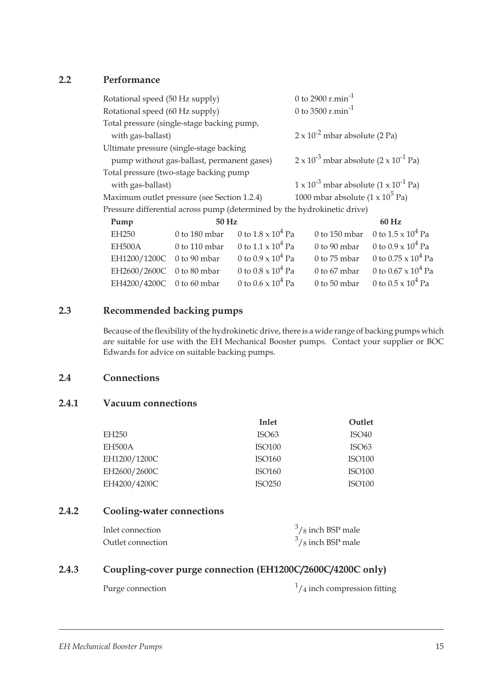### 2.2 Performance

|                                                                                                | Rotational speed (50 Hz supply)            |                                              | 0 to 2900 $r.min^{-1}$                                                   |                                              |  |  |
|------------------------------------------------------------------------------------------------|--------------------------------------------|----------------------------------------------|--------------------------------------------------------------------------|----------------------------------------------|--|--|
|                                                                                                | Rotational speed (60 Hz supply)            |                                              | 0 to 3500 $r.min^{-1}$                                                   |                                              |  |  |
|                                                                                                | Total pressure (single-stage backing pump, |                                              |                                                                          |                                              |  |  |
| with gas-ballast)                                                                              |                                            | $2 \times 10^{-2}$ mbar absolute (2 Pa)      |                                                                          |                                              |  |  |
|                                                                                                | Ultimate pressure (single-stage backing    |                                              |                                                                          |                                              |  |  |
| pump without gas-ballast, permanent gases)                                                     |                                            |                                              | $2 \times 10^{-3}$ mbar absolute $(2 \times 10^{-1}$ Pa)                 |                                              |  |  |
|                                                                                                | Total pressure (two-stage backing pump     |                                              |                                                                          |                                              |  |  |
| with gas-ballast)                                                                              |                                            |                                              | $1 \times 10^{-3}$ mbar absolute $(1 \times 10^{-1}$ Pa)                 |                                              |  |  |
| 1000 mbar absolute $(1 \times 10^5 \text{ Pa})$<br>Maximum outlet pressure (see Section 1.2.4) |                                            |                                              |                                                                          |                                              |  |  |
|                                                                                                |                                            |                                              | Pressure differential across pump (determined by the hydrokinetic drive) |                                              |  |  |
| Pump                                                                                           | 50 Hz                                      |                                              |                                                                          | 60 Hz                                        |  |  |
| EH250                                                                                          |                                            | 0 to 180 mbar 0 to $1.8 \times 10^4$ Pa      |                                                                          | 0 to 150 mbar 0 to $1.5 \times 10^4$ Pa      |  |  |
| <b>ELIEOO A</b>                                                                                |                                            | $0 \pm 110$ mboy $0 \pm 11 \times 10^{4}$ De |                                                                          | $0 + 00$ mboy $0 + 0.0 + 10^{4}$ $\text{Pa}$ |  |  |

| EH500A                    | 0 to 110 mbar 0 to $1.1 \times 10^4$ Pa | 0 to 90 mbar 0 to $0.9 \times 10^4$ Pa |
|---------------------------|-----------------------------------------|----------------------------------------|
| EH1200/1200C 0 to 90 mbar | 0 to $0.9 \times 10^4$ Pa               | 0 to 75 mbar 0 to 0.75 x $10^4$ Pa     |
| EH2600/2600C 0 to 80 mbar | 0 to $0.8 \times 10^4$ Pa               | 0 to 67 mbar 0 to 0.67 x $10^4$ Pa     |
| EH4200/4200C 0 to 60 mbar | 0 to $0.6 \times 10^4$ Pa               | 0 to 50 mbar 0 to $0.5 \times 10^4$ Pa |

## 2.3 Recommended backing pumps

Because of the flexibility of the hydrokinetic drive, there is a wide range of backing pumps which are suitable for use with the EH Mechanical Booster pumps. Contact your supplier or BOC Edwards for advice on suitable backing pumps.

### 2.4 Connections

### 2.4.1 Vacuum connections

|                   | Inlet              | Outlet            |
|-------------------|--------------------|-------------------|
| EH <sub>250</sub> | ISO <sub>63</sub>  | ISO40             |
| EH500A            | <b>ISO100</b>      | ISO <sub>63</sub> |
| EH1200/1200C      | ISO160             | <b>ISO100</b>     |
| EH2600/2600C      | ISO160             | <b>ISO100</b>     |
| EH4200/4200C      | ISO <sub>250</sub> | <b>ISO100</b>     |

## 2.4.2 Cooling-water connections

| Inlet connection  | $3/8$ inch BSP male |
|-------------------|---------------------|
| Outlet connection | $3/8$ inch BSP male |

## 2.4.3 Coupling-cover purge connection (EH1200C/2600C/4200C only)

Purge connection

 $\frac{1}{4}$  inch compression fitting